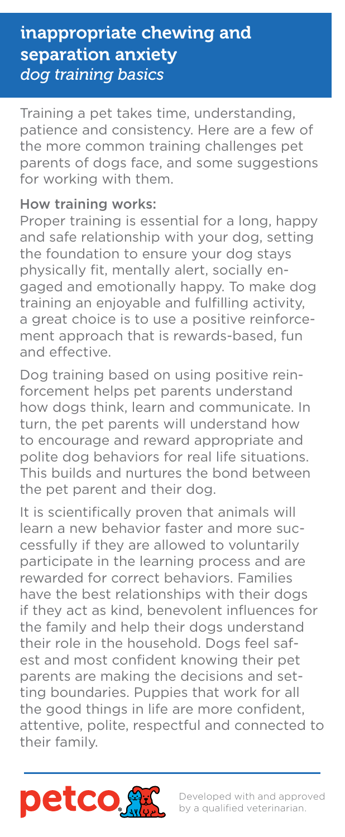## inappropriate chewing and separation anxiety *dog training basics*

Training a pet takes time, understanding, patience and consistency. Here are a few of the more common training challenges pet parents of dogs face, and some suggestions for working with them.

## How training works:

Proper training is essential for a long, happy and safe relationship with your dog, setting the foundation to ensure your dog stays physically fit, mentally alert, socially engaged and emotionally happy. To make dog training an enjoyable and fulfilling activity, a great choice is to use a positive reinforcement approach that is rewards-based, fun and effective.

Dog training based on using positive reinforcement helps pet parents understand how dogs think, learn and communicate. In turn, the pet parents will understand how to encourage and reward appropriate and polite dog behaviors for real life situations. This builds and nurtures the bond between the pet parent and their dog.

It is scientifically proven that animals will learn a new behavior faster and more successfully if they are allowed to voluntarily participate in the learning process and are rewarded for correct behaviors. Families have the best relationships with their dogs if they act as kind, benevolent influences for the family and help their dogs understand their role in the household. Dogs feel safest and most confident knowing their pet parents are making the decisions and setting boundaries. Puppies that work for all the good things in life are more confident, attentive, polite, respectful and connected to their family.

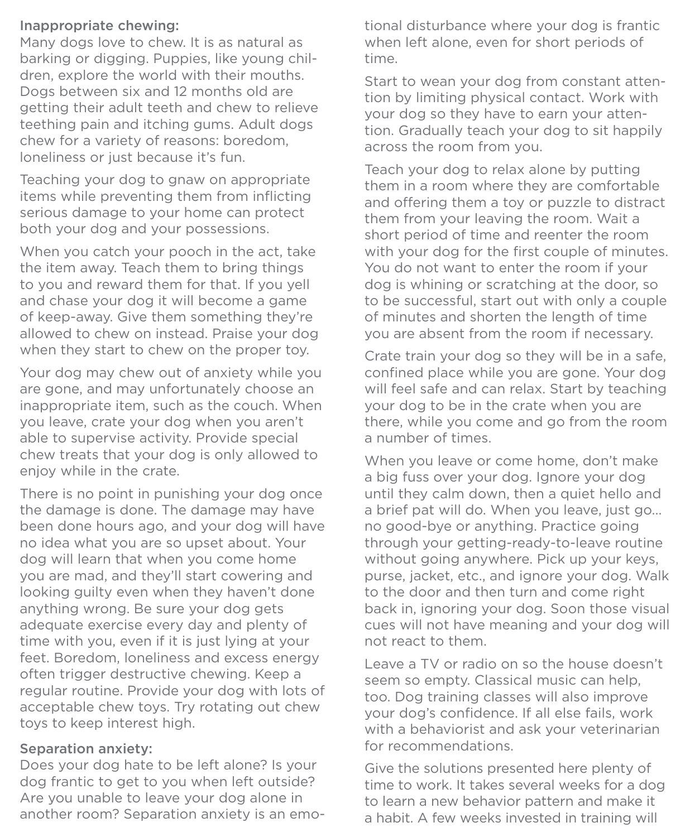## Inappropriate chewing:

Many dogs love to chew. It is as natural as barking or digging. Puppies, like young children, explore the world with their mouths. Dogs between six and 12 months old are getting their adult teeth and chew to relieve teething pain and itching gums. Adult dogs chew for a variety of reasons: boredom, loneliness or just because it's fun.

Teaching your dog to gnaw on appropriate items while preventing them from inflicting serious damage to your home can protect both your dog and your possessions.

When you catch your pooch in the act, take the item away. Teach them to bring things to you and reward them for that. If you yell and chase your dog it will become a game of keep-away. Give them something they're allowed to chew on instead. Praise your dog when they start to chew on the proper toy.

Your dog may chew out of anxiety while you are gone, and may unfortunately choose an inappropriate item, such as the couch. When you leave, crate your dog when you aren't able to supervise activity. Provide special chew treats that your dog is only allowed to enjoy while in the crate.

There is no point in punishing your dog once the damage is done. The damage may have been done hours ago, and your dog will have no idea what you are so upset about. Your dog will learn that when you come home you are mad, and they'll start cowering and looking guilty even when they haven't done anything wrong. Be sure your dog gets adequate exercise every day and plenty of time with you, even if it is just lying at your feet. Boredom, loneliness and excess energy often trigger destructive chewing. Keep a regular routine. Provide your dog with lots of acceptable chew toys. Try rotating out chew toys to keep interest high.

## Separation anxiety:

Does your dog hate to be left alone? Is your dog frantic to get to you when left outside? Are you unable to leave your dog alone in another room? Separation anxiety is an emotional disturbance where your dog is frantic when left alone, even for short periods of time.

Start to wean your dog from constant attention by limiting physical contact. Work with your dog so they have to earn your attention. Gradually teach your dog to sit happily across the room from you.

Teach your dog to relax alone by putting them in a room where they are comfortable and offering them a toy or puzzle to distract them from your leaving the room. Wait a short period of time and reenter the room with your dog for the first couple of minutes. You do not want to enter the room if your dog is whining or scratching at the door, so to be successful, start out with only a couple of minutes and shorten the length of time you are absent from the room if necessary.

Crate train your dog so they will be in a safe, confined place while you are gone. Your dog will feel safe and can relax. Start by teaching your dog to be in the crate when you are there, while you come and go from the room a number of times.

When you leave or come home, don't make a big fuss over your dog. Ignore your dog until they calm down, then a quiet hello and a brief pat will do. When you leave, just go... no good-bye or anything. Practice going through your getting-ready-to-leave routine without going anywhere. Pick up your keys, purse, jacket, etc., and ignore your dog. Walk to the door and then turn and come right back in, ignoring your dog. Soon those visual cues will not have meaning and your dog will not react to them.

Leave a TV or radio on so the house doesn't seem so empty. Classical music can help, too. Dog training classes will also improve your dog's confidence. If all else fails, work with a behaviorist and ask your veterinarian for recommendations.

Give the solutions presented here plenty of time to work. It takes several weeks for a dog to learn a new behavior pattern and make it a habit. A few weeks invested in training will